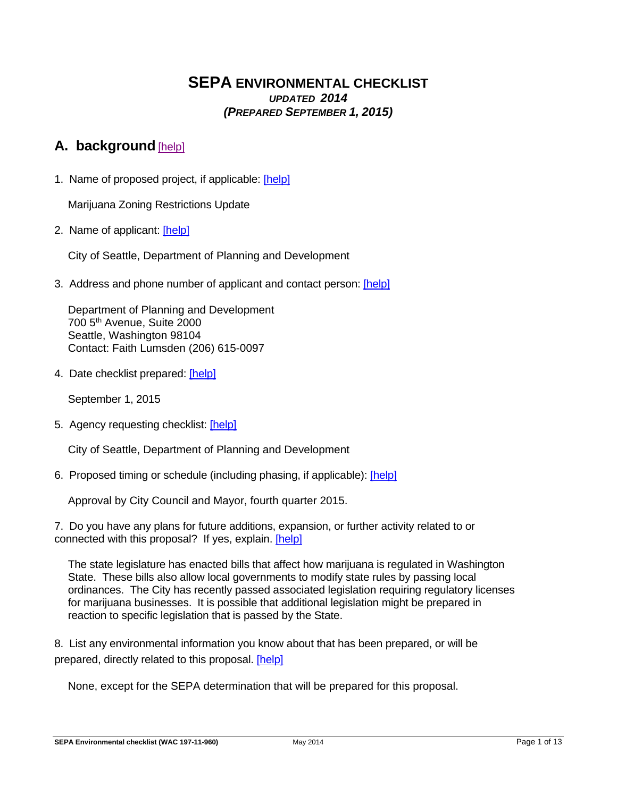## **SEPA ENVIRONMENTAL CHECKLIST** *UPDATED 2014 (PREPARED SEPTEMBER 1, 2015)*

# **A. background** [help]

1. Name of proposed project, if applicable: [help]

Marijuana Zoning Restrictions Update

2. Name of applicant: [help]

City of Seattle, Department of Planning and Development

3. Address and phone number of applicant and contact person: [help]

Department of Planning and Development 700 5th Avenue, Suite 2000 Seattle, Washington 98104 Contact: Faith Lumsden (206) 615-0097

4. Date checklist prepared: [help]

September 1, 2015

5. Agency requesting checklist: [help]

City of Seattle, Department of Planning and Development

6. Proposed timing or schedule (including phasing, if applicable): [help]

Approval by City Council and Mayor, fourth quarter 2015.

7. Do you have any plans for future additions, expansion, or further activity related to or connected with this proposal? If yes, explain. [help]

The state legislature has enacted bills that affect how marijuana is regulated in Washington State. These bills also allow local governments to modify state rules by passing local ordinances. The City has recently passed associated legislation requiring regulatory licenses for marijuana businesses. It is possible that additional legislation might be prepared in reaction to specific legislation that is passed by the State.

8. List any environmental information you know about that has been prepared, or will be prepared, directly related to this proposal. [help]

None, except for the SEPA determination that will be prepared for this proposal.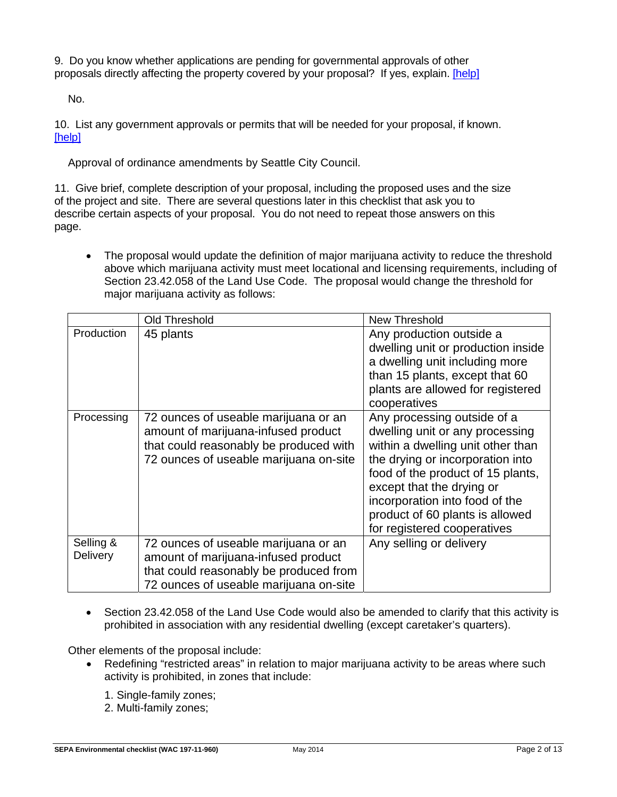9. Do you know whether applications are pending for governmental approvals of other proposals directly affecting the property covered by your proposal? If yes, explain. [help]

No.

10. List any government approvals or permits that will be needed for your proposal, if known. [help]

Approval of ordinance amendments by Seattle City Council.

11. Give brief, complete description of your proposal, including the proposed uses and the size of the project and site. There are several questions later in this checklist that ask you to describe certain aspects of your proposal. You do not need to repeat those answers on this page.

• The proposal would update the definition of major marijuana activity to reduce the threshold above which marijuana activity must meet locational and licensing requirements, including of Section 23.42.058 of the Land Use Code. The proposal would change the threshold for major marijuana activity as follows:

|                       | Old Threshold                                                                                                                                                   | New Threshold                                                                                                                                                                                                                                                                                                 |
|-----------------------|-----------------------------------------------------------------------------------------------------------------------------------------------------------------|---------------------------------------------------------------------------------------------------------------------------------------------------------------------------------------------------------------------------------------------------------------------------------------------------------------|
| Production            | 45 plants                                                                                                                                                       | Any production outside a<br>dwelling unit or production inside<br>a dwelling unit including more<br>than 15 plants, except that 60<br>plants are allowed for registered<br>cooperatives                                                                                                                       |
| Processing            | 72 ounces of useable marijuana or an<br>amount of marijuana-infused product<br>that could reasonably be produced with<br>72 ounces of useable marijuana on-site | Any processing outside of a<br>dwelling unit or any processing<br>within a dwelling unit other than<br>the drying or incorporation into<br>food of the product of 15 plants,<br>except that the drying or<br>incorporation into food of the<br>product of 60 plants is allowed<br>for registered cooperatives |
| Selling &<br>Delivery | 72 ounces of useable marijuana or an<br>amount of marijuana-infused product<br>that could reasonably be produced from<br>72 ounces of useable marijuana on-site | Any selling or delivery                                                                                                                                                                                                                                                                                       |

• Section 23.42.058 of the Land Use Code would also be amended to clarify that this activity is prohibited in association with any residential dwelling (except caretaker's quarters).

Other elements of the proposal include:

- Redefining "restricted areas" in relation to major marijuana activity to be areas where such activity is prohibited, in zones that include:
	- 1. Single-family zones;
	- 2. Multi-family zones;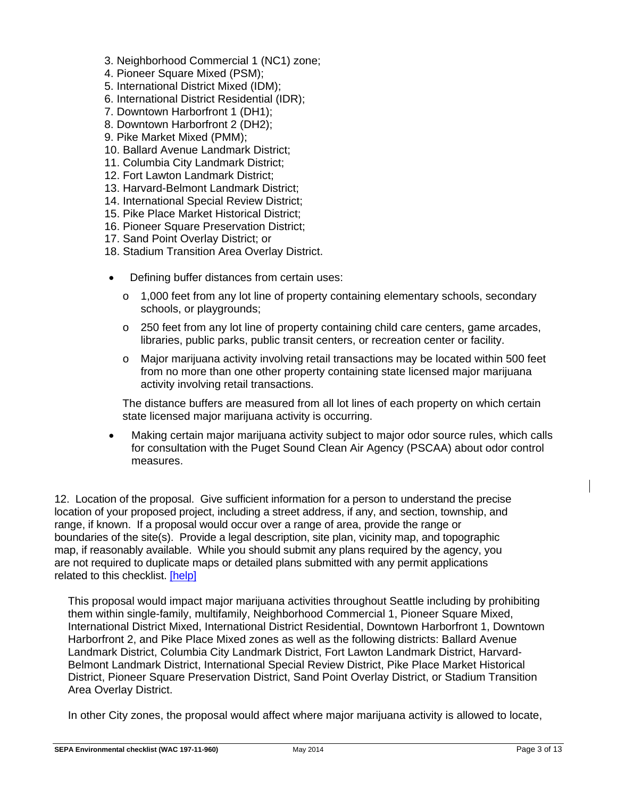- 3. Neighborhood Commercial 1 (NC1) zone;
- 4. Pioneer Square Mixed (PSM);
- 5. International District Mixed (IDM);
- 6. International District Residential (IDR);
- 7. Downtown Harborfront 1 (DH1);
- 8. Downtown Harborfront 2 (DH2);
- 9. Pike Market Mixed (PMM);
- 10. Ballard Avenue Landmark District;
- 11. Columbia City Landmark District;
- 12. Fort Lawton Landmark District;
- 13. Harvard-Belmont Landmark District;
- 14. International Special Review District;
- 15. Pike Place Market Historical District;
- 16. Pioneer Square Preservation District;
- 17. Sand Point Overlay District; or
- 18. Stadium Transition Area Overlay District.
- Defining buffer distances from certain uses:
	- $\circ$  1,000 feet from any lot line of property containing elementary schools, secondary schools, or playgrounds;
	- $\circ$  250 feet from any lot line of property containing child care centers, game arcades, libraries, public parks, public transit centers, or recreation center or facility.
	- o Major marijuana activity involving retail transactions may be located within 500 feet from no more than one other property containing state licensed major marijuana activity involving retail transactions.

The distance buffers are measured from all lot lines of each property on which certain state licensed major marijuana activity is occurring.

 Making certain major marijuana activity subject to major odor source rules, which calls for consultation with the Puget Sound Clean Air Agency (PSCAA) about odor control measures.

12. Location of the proposal. Give sufficient information for a person to understand the precise location of your proposed project, including a street address, if any, and section, township, and range, if known. If a proposal would occur over a range of area, provide the range or boundaries of the site(s). Provide a legal description, site plan, vicinity map, and topographic map, if reasonably available. While you should submit any plans required by the agency, you are not required to duplicate maps or detailed plans submitted with any permit applications related to this checklist. [help]

This proposal would impact major marijuana activities throughout Seattle including by prohibiting them within single-family, multifamily, Neighborhood Commercial 1, Pioneer Square Mixed, International District Mixed, International District Residential, Downtown Harborfront 1, Downtown Harborfront 2, and Pike Place Mixed zones as well as the following districts: Ballard Avenue Landmark District, Columbia City Landmark District, Fort Lawton Landmark District, Harvard-Belmont Landmark District, International Special Review District, Pike Place Market Historical District, Pioneer Square Preservation District, Sand Point Overlay District, or Stadium Transition Area Overlay District.

In other City zones, the proposal would affect where major marijuana activity is allowed to locate,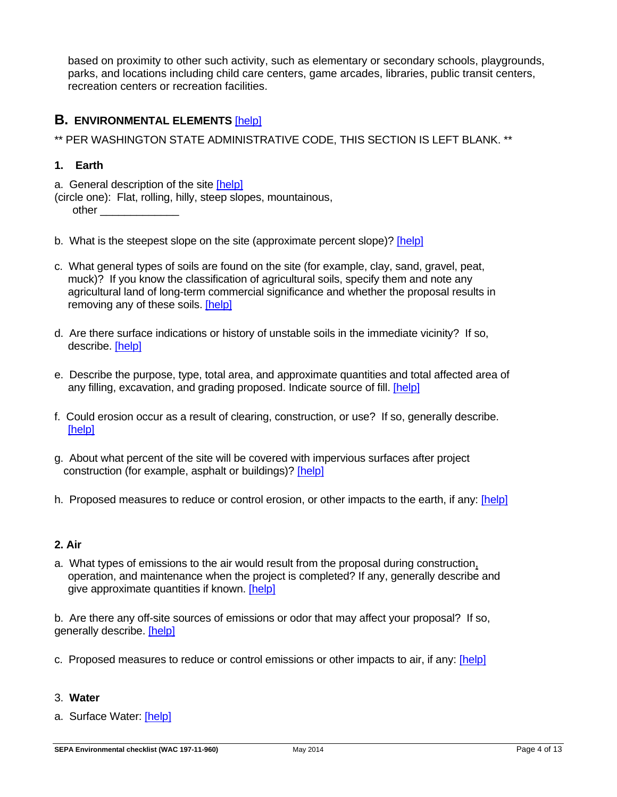based on proximity to other such activity, such as elementary or secondary schools, playgrounds, parks, and locations including child care centers, game arcades, libraries, public transit centers, recreation centers or recreation facilities.

## **B. ENVIRONMENTAL ELEMENTS** [help]

\*\* PER WASHINGTON STATE ADMINISTRATIVE CODE, THIS SECTION IS LEFT BLANK. \*\*

## **1. Earth**

- a. General description of the site [help]
- (circle one): Flat, rolling, hilly, steep slopes, mountainous, other \_\_\_\_\_\_\_\_\_\_\_\_\_
- b. What is the steepest slope on the site (approximate percent slope)? [help]
- c. What general types of soils are found on the site (for example, clay, sand, gravel, peat, muck)? If you know the classification of agricultural soils, specify them and note any agricultural land of long-term commercial significance and whether the proposal results in removing any of these soils. [help]
- d. Are there surface indications or history of unstable soils in the immediate vicinity? If so, describe. [help]
- e. Describe the purpose, type, total area, and approximate quantities and total affected area of any filling, excavation, and grading proposed. Indicate source of fill. [help]
- f. Could erosion occur as a result of clearing, construction, or use? If so, generally describe. [help]
- g. About what percent of the site will be covered with impervious surfaces after project construction (for example, asphalt or buildings)? [help]
- h. Proposed measures to reduce or control erosion, or other impacts to the earth, if any: [help]

## **2. Air**

a. What types of emissions to the air would result from the proposal during construction. operation, and maintenance when the project is completed? If any, generally describe and give approximate quantities if known. [help]

b. Are there any off-site sources of emissions or odor that may affect your proposal? If so, generally describe. [help]

c. Proposed measures to reduce or control emissions or other impacts to air, if any: [help]

## 3. **Water**

a. Surface Water: [help]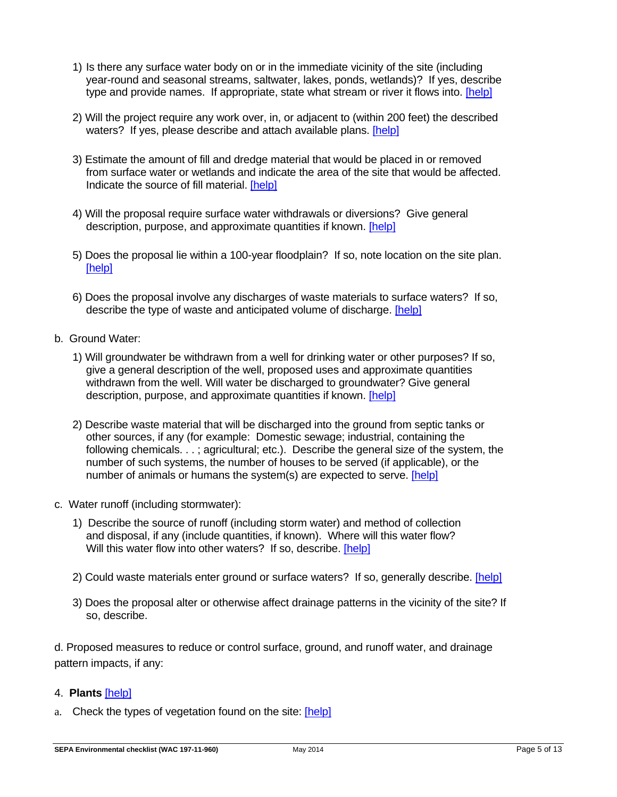- 1) Is there any surface water body on or in the immediate vicinity of the site (including year-round and seasonal streams, saltwater, lakes, ponds, wetlands)? If yes, describe type and provide names. If appropriate, state what stream or river it flows into. [help]
- 2) Will the project require any work over, in, or adjacent to (within 200 feet) the described waters? If yes, please describe and attach available plans. [help]
- 3) Estimate the amount of fill and dredge material that would be placed in or removed from surface water or wetlands and indicate the area of the site that would be affected. Indicate the source of fill material. [help]
- 4) Will the proposal require surface water withdrawals or diversions? Give general description, purpose, and approximate quantities if known. [help]
- 5) Does the proposal lie within a 100-year floodplain? If so, note location on the site plan. [help]
- 6) Does the proposal involve any discharges of waste materials to surface waters? If so, describe the type of waste and anticipated volume of discharge. [help]
- b. Ground Water:
	- 1) Will groundwater be withdrawn from a well for drinking water or other purposes? If so, give a general description of the well, proposed uses and approximate quantities withdrawn from the well. Will water be discharged to groundwater? Give general description, purpose, and approximate quantities if known. [help]
	- 2) Describe waste material that will be discharged into the ground from septic tanks or other sources, if any (for example: Domestic sewage; industrial, containing the following chemicals. . . ; agricultural; etc.). Describe the general size of the system, the number of such systems, the number of houses to be served (if applicable), or the number of animals or humans the system(s) are expected to serve. [help]
- c. Water runoff (including stormwater):
	- 1) Describe the source of runoff (including storm water) and method of collection and disposal, if any (include quantities, if known). Where will this water flow? Will this water flow into other waters? If so, describe. [help]
	- 2) Could waste materials enter ground or surface waters? If so, generally describe. [help]
	- 3) Does the proposal alter or otherwise affect drainage patterns in the vicinity of the site? If so, describe.

d. Proposed measures to reduce or control surface, ground, and runoff water, and drainage pattern impacts, if any:

## 4. **Plants** [help]

a. Check the types of vegetation found on the site: [help]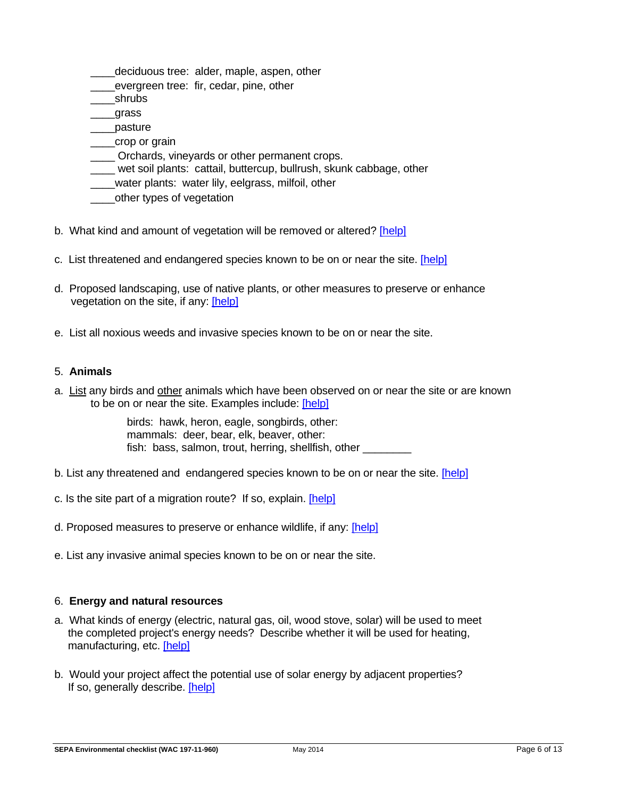- deciduous tree: alder, maple, aspen, other
- \_\_\_\_evergreen tree: fir, cedar, pine, other
- \_\_\_\_shrubs
- \_\_\_\_grass
- \_\_\_\_pasture
- \_\_\_\_crop or grain
- \_\_\_\_ Orchards, vineyards or other permanent crops.
- \_\_\_\_ wet soil plants: cattail, buttercup, bullrush, skunk cabbage, other
- water plants: water lily, eelgrass, milfoil, other
- \_\_\_\_other types of vegetation
- b. What kind and amount of vegetation will be removed or altered? [help]
- c. List threatened and endangered species known to be on or near the site. [help]
- d. Proposed landscaping, use of native plants, or other measures to preserve or enhance vegetation on the site, if any: [help]
- e. List all noxious weeds and invasive species known to be on or near the site.

### 5. **Animals**

a. List any birds and other animals which have been observed on or near the site or are known to be on or near the site. Examples include: [help]

> birds: hawk, heron, eagle, songbirds, other: mammals: deer, bear, elk, beaver, other: fish: bass, salmon, trout, herring, shellfish, other

- b. List any threatened and endangered species known to be on or near the site. [help]
- c. Is the site part of a migration route? If so, explain. [help]
- d. Proposed measures to preserve or enhance wildlife, if any: [help]
- e. List any invasive animal species known to be on or near the site.

#### 6. **Energy and natural resources**

- a. What kinds of energy (electric, natural gas, oil, wood stove, solar) will be used to meet the completed project's energy needs? Describe whether it will be used for heating, manufacturing, etc. [help]
- b. Would your project affect the potential use of solar energy by adjacent properties? If so, generally describe. [help]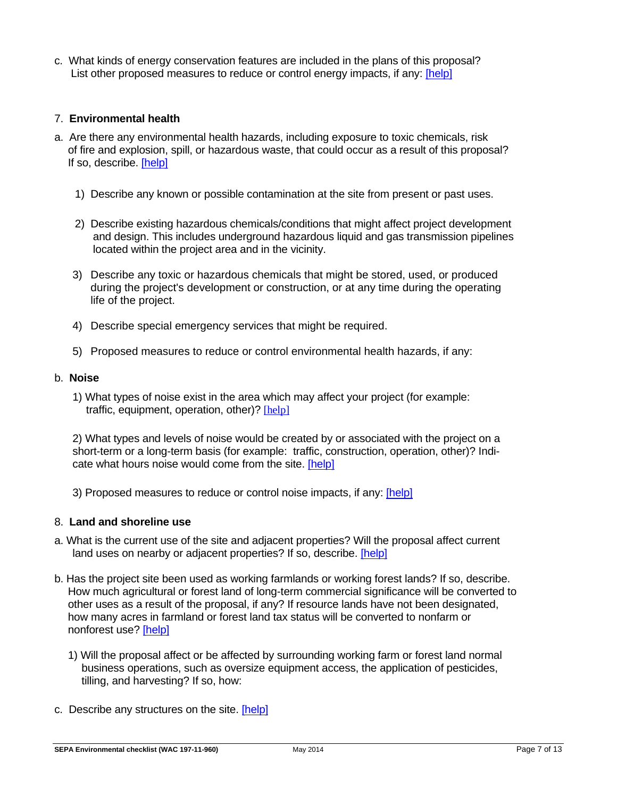c. What kinds of energy conservation features are included in the plans of this proposal? List other proposed measures to reduce or control energy impacts, if any: [help]

## 7. **Environmental health**

- a. Are there any environmental health hazards, including exposure to toxic chemicals, risk of fire and explosion, spill, or hazardous waste, that could occur as a result of this proposal? If so, describe. [help]
	- 1) Describe any known or possible contamination at the site from present or past uses.
	- 2) Describe existing hazardous chemicals/conditions that might affect project development and design. This includes underground hazardous liquid and gas transmission pipelines located within the project area and in the vicinity.
	- 3) Describe any toxic or hazardous chemicals that might be stored, used, or produced during the project's development or construction, or at any time during the operating life of the project.
	- 4) Describe special emergency services that might be required.
	- 5) Proposed measures to reduce or control environmental health hazards, if any:

#### b. **Noise**

1) What types of noise exist in the area which may affect your project (for example: traffic, equipment, operation, other)? [help]

2) What types and levels of noise would be created by or associated with the project on a short-term or a long-term basis (for example: traffic, construction, operation, other)? Indicate what hours noise would come from the site. [help]

3) Proposed measures to reduce or control noise impacts, if any: [help]

#### 8. **Land and shoreline use**

- a. What is the current use of the site and adjacent properties? Will the proposal affect current land uses on nearby or adjacent properties? If so, describe. [help]
- b. Has the project site been used as working farmlands or working forest lands? If so, describe. How much agricultural or forest land of long-term commercial significance will be converted to other uses as a result of the proposal, if any? If resource lands have not been designated, how many acres in farmland or forest land tax status will be converted to nonfarm or nonforest use? [help]
	- 1) Will the proposal affect or be affected by surrounding working farm or forest land normal business operations, such as oversize equipment access, the application of pesticides, tilling, and harvesting? If so, how:
- c. Describe any structures on the site. [help]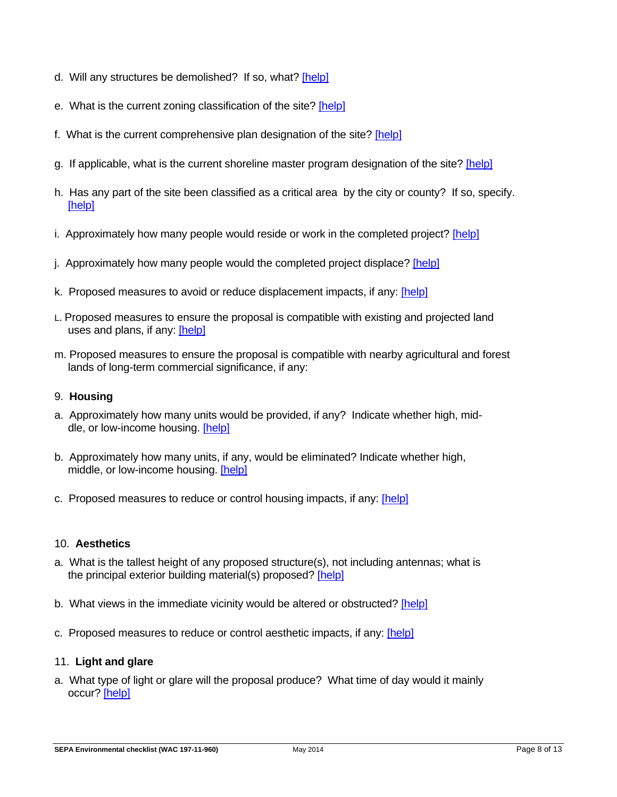- d. Will any structures be demolished? If so, what? [help]
- e. What is the current zoning classification of the site? [help]
- f. What is the current comprehensive plan designation of the site? [help]
- g. If applicable, what is the current shoreline master program designation of the site? [help]
- h. Has any part of the site been classified as a critical area by the city or county? If so, specify. [help]
- i. Approximately how many people would reside or work in the completed project? [help]
- j. Approximately how many people would the completed project displace? [help]
- k. Proposed measures to avoid or reduce displacement impacts, if any: [help]
- L. Proposed measures to ensure the proposal is compatible with existing and projected land uses and plans, if any: [help]
- m. Proposed measures to ensure the proposal is compatible with nearby agricultural and forest lands of long-term commercial significance, if any:

#### 9. **Housing**

- a. Approximately how many units would be provided, if any? Indicate whether high, middle, or low-income housing. [help]
- b. Approximately how many units, if any, would be eliminated? Indicate whether high, middle, or low-income housing. [help]
- c. Proposed measures to reduce or control housing impacts, if any: [help]

#### 10. **Aesthetics**

- a. What is the tallest height of any proposed structure(s), not including antennas; what is the principal exterior building material(s) proposed? [help]
- b. What views in the immediate vicinity would be altered or obstructed? [help]
- c. Proposed measures to reduce or control aesthetic impacts, if any: [help]

## 11. **Light and glare**

a. What type of light or glare will the proposal produce? What time of day would it mainly occur? [help]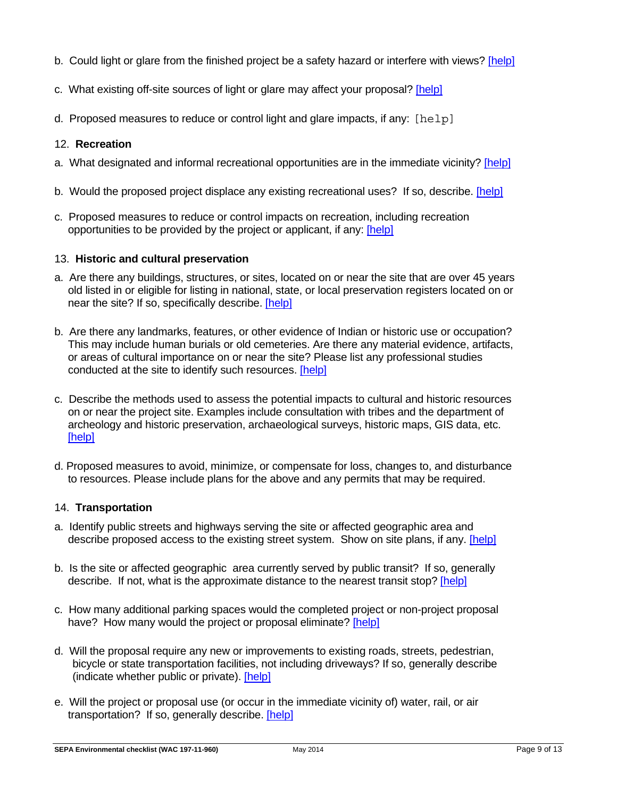- b. Could light or glare from the finished project be a safety hazard or interfere with views? [help]
- c. What existing off-site sources of light or glare may affect your proposal? [help]
- d. Proposed measures to reduce or control light and glare impacts, if any:  $[help]$

### 12. **Recreation**

- a. What designated and informal recreational opportunities are in the immediate vicinity? [help]
- b. Would the proposed project displace any existing recreational uses? If so, describe. [help]
- c. Proposed measures to reduce or control impacts on recreation, including recreation opportunities to be provided by the project or applicant, if any: [help]

#### 13. **Historic and cultural preservation**

- a. Are there any buildings, structures, or sites, located on or near the site that are over 45 years old listed in or eligible for listing in national, state, or local preservation registers located on or near the site? If so, specifically describe. [help]
- b. Are there any landmarks, features, or other evidence of Indian or historic use or occupation? This may include human burials or old cemeteries. Are there any material evidence, artifacts, or areas of cultural importance on or near the site? Please list any professional studies conducted at the site to identify such resources. [help]
- c. Describe the methods used to assess the potential impacts to cultural and historic resources on or near the project site. Examples include consultation with tribes and the department of archeology and historic preservation, archaeological surveys, historic maps, GIS data, etc. [help]
- d. Proposed measures to avoid, minimize, or compensate for loss, changes to, and disturbance to resources. Please include plans for the above and any permits that may be required.

#### 14. **Transportation**

- a. Identify public streets and highways serving the site or affected geographic area and describe proposed access to the existing street system. Show on site plans, if any. [help]
- b. Is the site or affected geographic area currently served by public transit? If so, generally describe. If not, what is the approximate distance to the nearest transit stop? [help]
- c. How many additional parking spaces would the completed project or non-project proposal have? How many would the project or proposal eliminate? [help]
- d. Will the proposal require any new or improvements to existing roads, streets, pedestrian, bicycle or state transportation facilities, not including driveways? If so, generally describe (indicate whether public or private). [help]
- e. Will the project or proposal use (or occur in the immediate vicinity of) water, rail, or air transportation? If so, generally describe. [help]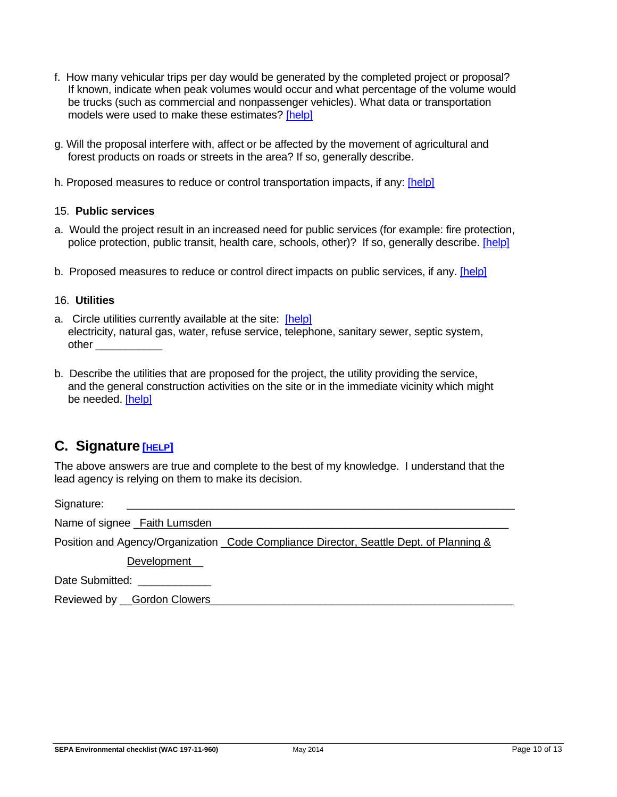- f. How many vehicular trips per day would be generated by the completed project or proposal? If known, indicate when peak volumes would occur and what percentage of the volume would be trucks (such as commercial and nonpassenger vehicles). What data or transportation models were used to make these estimates? [help]
- g. Will the proposal interfere with, affect or be affected by the movement of agricultural and forest products on roads or streets in the area? If so, generally describe.
- h. Proposed measures to reduce or control transportation impacts, if any: [help]

#### 15. **Public services**

- a. Would the project result in an increased need for public services (for example: fire protection, police protection, public transit, health care, schools, other)? If so, generally describe. [help]
- b. Proposed measures to reduce or control direct impacts on public services, if any. [help]

#### 16. **Utilities**

- a. Circle utilities currently available at the site: [help] electricity, natural gas, water, refuse service, telephone, sanitary sewer, septic system, other \_\_\_\_\_\_\_\_\_\_\_
- b. Describe the utilities that are proposed for the project, the utility providing the service, and the general construction activities on the site or in the immediate vicinity which might be needed. [help]

## **C. Signature [HELP]**

The above answers are true and complete to the best of my knowledge. I understand that the lead agency is relying on them to make its decision.

Signature: \_\_\_\_\_\_\_\_\_\_\_\_\_\_\_\_\_\_\_\_\_\_\_\_\_\_\_\_\_\_\_\_\_\_\_\_\_\_\_\_\_\_\_\_\_\_\_\_\_\_\_\_\_\_\_\_\_\_\_\_\_\_\_\_

Name of signee Faith Lumsden

Position and Agency/Organization Code Compliance Director, Seattle Dept. of Planning &

Development\_

Date Submitted:

Reviewed by Gordon Clowers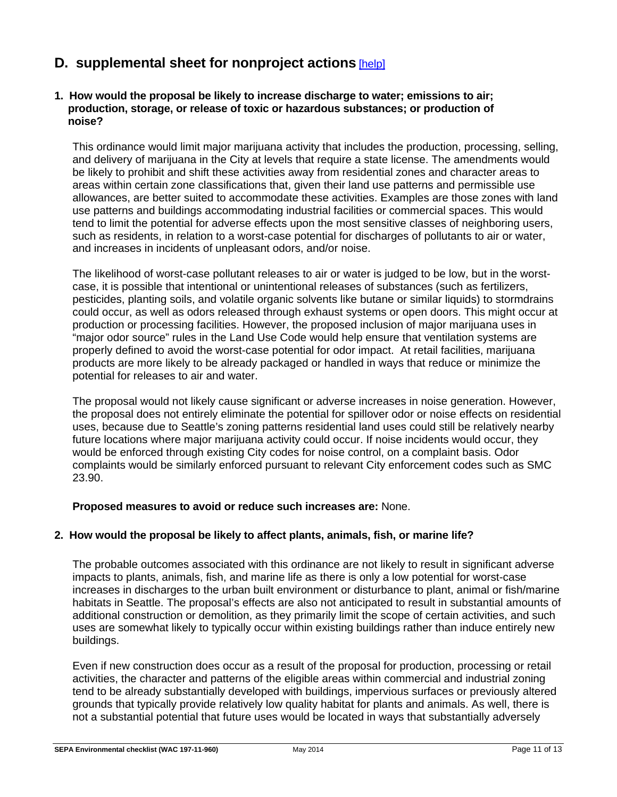# **D. supplemental sheet for nonproject actions** [help]

#### **1. How would the proposal be likely to increase discharge to water; emissions to air; production, storage, or release of toxic or hazardous substances; or production of noise?**

This ordinance would limit major marijuana activity that includes the production, processing, selling, and delivery of marijuana in the City at levels that require a state license. The amendments would be likely to prohibit and shift these activities away from residential zones and character areas to areas within certain zone classifications that, given their land use patterns and permissible use allowances, are better suited to accommodate these activities. Examples are those zones with land use patterns and buildings accommodating industrial facilities or commercial spaces. This would tend to limit the potential for adverse effects upon the most sensitive classes of neighboring users, such as residents, in relation to a worst-case potential for discharges of pollutants to air or water, and increases in incidents of unpleasant odors, and/or noise.

The likelihood of worst-case pollutant releases to air or water is judged to be low, but in the worstcase, it is possible that intentional or unintentional releases of substances (such as fertilizers, pesticides, planting soils, and volatile organic solvents like butane or similar liquids) to stormdrains could occur, as well as odors released through exhaust systems or open doors. This might occur at production or processing facilities. However, the proposed inclusion of major marijuana uses in "major odor source" rules in the Land Use Code would help ensure that ventilation systems are properly defined to avoid the worst-case potential for odor impact. At retail facilities, marijuana products are more likely to be already packaged or handled in ways that reduce or minimize the potential for releases to air and water.

The proposal would not likely cause significant or adverse increases in noise generation. However, the proposal does not entirely eliminate the potential for spillover odor or noise effects on residential uses, because due to Seattle's zoning patterns residential land uses could still be relatively nearby future locations where major marijuana activity could occur. If noise incidents would occur, they would be enforced through existing City codes for noise control, on a complaint basis. Odor complaints would be similarly enforced pursuant to relevant City enforcement codes such as SMC 23.90.

## **Proposed measures to avoid or reduce such increases are:** None.

## **2. How would the proposal be likely to affect plants, animals, fish, or marine life?**

The probable outcomes associated with this ordinance are not likely to result in significant adverse impacts to plants, animals, fish, and marine life as there is only a low potential for worst-case increases in discharges to the urban built environment or disturbance to plant, animal or fish/marine habitats in Seattle. The proposal's effects are also not anticipated to result in substantial amounts of additional construction or demolition, as they primarily limit the scope of certain activities, and such uses are somewhat likely to typically occur within existing buildings rather than induce entirely new buildings.

Even if new construction does occur as a result of the proposal for production, processing or retail activities, the character and patterns of the eligible areas within commercial and industrial zoning tend to be already substantially developed with buildings, impervious surfaces or previously altered grounds that typically provide relatively low quality habitat for plants and animals. As well, there is not a substantial potential that future uses would be located in ways that substantially adversely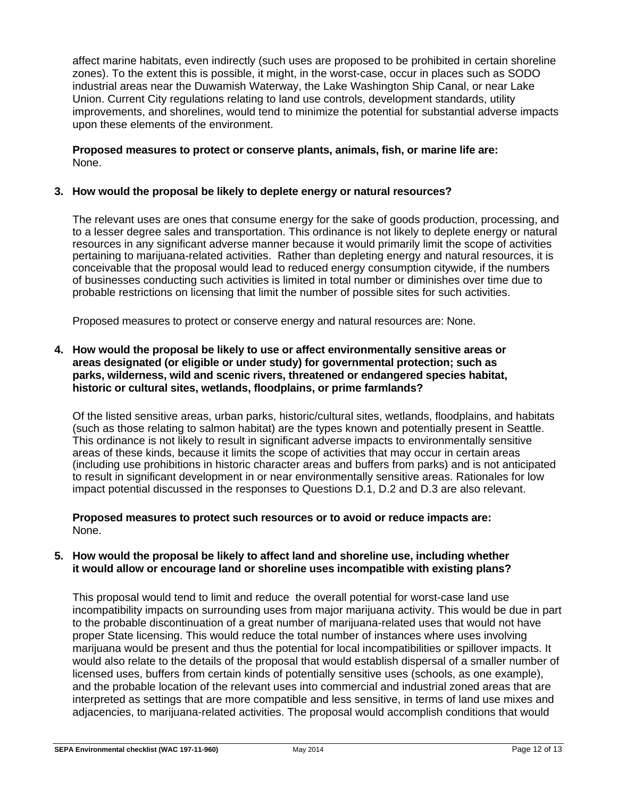affect marine habitats, even indirectly (such uses are proposed to be prohibited in certain shoreline zones). To the extent this is possible, it might, in the worst-case, occur in places such as SODO industrial areas near the Duwamish Waterway, the Lake Washington Ship Canal, or near Lake Union. Current City regulations relating to land use controls, development standards, utility improvements, and shorelines, would tend to minimize the potential for substantial adverse impacts upon these elements of the environment.

#### **Proposed measures to protect or conserve plants, animals, fish, or marine life are:** None.

### **3. How would the proposal be likely to deplete energy or natural resources?**

The relevant uses are ones that consume energy for the sake of goods production, processing, and to a lesser degree sales and transportation. This ordinance is not likely to deplete energy or natural resources in any significant adverse manner because it would primarily limit the scope of activities pertaining to marijuana-related activities. Rather than depleting energy and natural resources, it is conceivable that the proposal would lead to reduced energy consumption citywide, if the numbers of businesses conducting such activities is limited in total number or diminishes over time due to probable restrictions on licensing that limit the number of possible sites for such activities.

Proposed measures to protect or conserve energy and natural resources are: None.

#### **4. How would the proposal be likely to use or affect environmentally sensitive areas or areas designated (or eligible or under study) for governmental protection; such as parks, wilderness, wild and scenic rivers, threatened or endangered species habitat, historic or cultural sites, wetlands, floodplains, or prime farmlands?**

Of the listed sensitive areas, urban parks, historic/cultural sites, wetlands, floodplains, and habitats (such as those relating to salmon habitat) are the types known and potentially present in Seattle. This ordinance is not likely to result in significant adverse impacts to environmentally sensitive areas of these kinds, because it limits the scope of activities that may occur in certain areas (including use prohibitions in historic character areas and buffers from parks) and is not anticipated to result in significant development in or near environmentally sensitive areas. Rationales for low impact potential discussed in the responses to Questions D.1, D.2 and D.3 are also relevant.

**Proposed measures to protect such resources or to avoid or reduce impacts are:** None.

#### **5. How would the proposal be likely to affect land and shoreline use, including whether it would allow or encourage land or shoreline uses incompatible with existing plans?**

This proposal would tend to limit and reduce the overall potential for worst-case land use incompatibility impacts on surrounding uses from major marijuana activity. This would be due in part to the probable discontinuation of a great number of marijuana-related uses that would not have proper State licensing. This would reduce the total number of instances where uses involving marijuana would be present and thus the potential for local incompatibilities or spillover impacts. It would also relate to the details of the proposal that would establish dispersal of a smaller number of licensed uses, buffers from certain kinds of potentially sensitive uses (schools, as one example), and the probable location of the relevant uses into commercial and industrial zoned areas that are interpreted as settings that are more compatible and less sensitive, in terms of land use mixes and adjacencies, to marijuana-related activities. The proposal would accomplish conditions that would